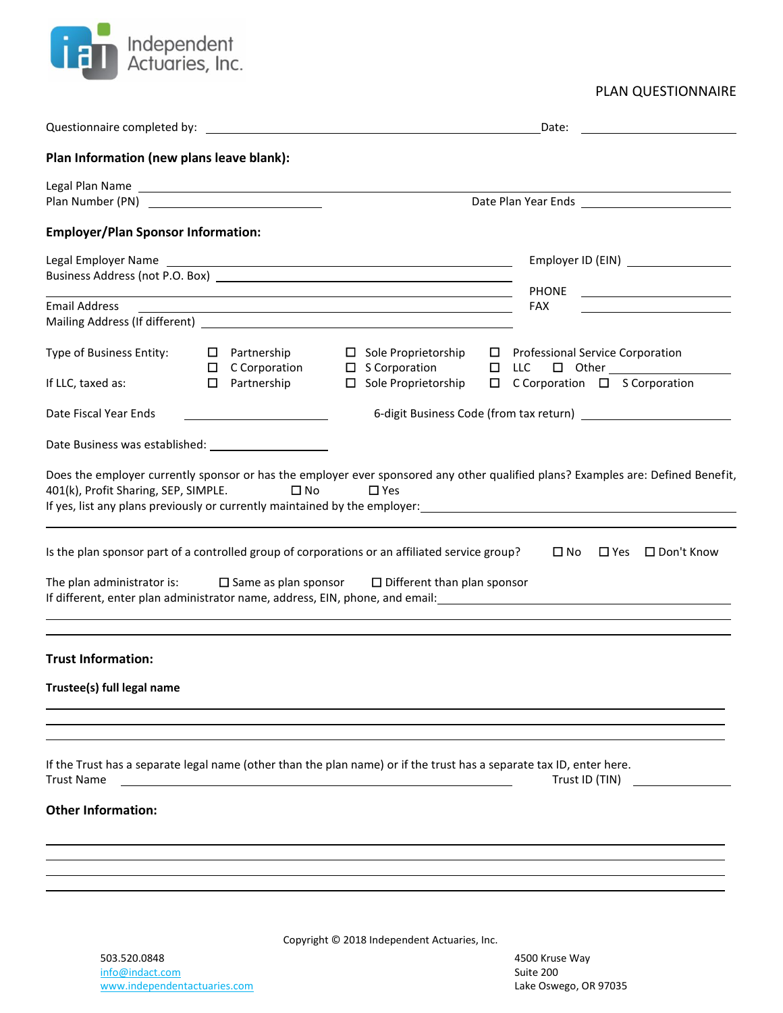

PLAN QUESTIONNAIRE

|                                                                                                                                                                                                                               |                                                             |                                                                                                                                                                                                           | Date:                                                                                                                                                                                                                                                                                                        |  |
|-------------------------------------------------------------------------------------------------------------------------------------------------------------------------------------------------------------------------------|-------------------------------------------------------------|-----------------------------------------------------------------------------------------------------------------------------------------------------------------------------------------------------------|--------------------------------------------------------------------------------------------------------------------------------------------------------------------------------------------------------------------------------------------------------------------------------------------------------------|--|
| Plan Information (new plans leave blank):                                                                                                                                                                                     |                                                             |                                                                                                                                                                                                           |                                                                                                                                                                                                                                                                                                              |  |
| Legal Plan Name Land and Contract and Contract and Contract and Contract and Contract and Contract and Contract and<br>Plan Number (PN) <u>___________________________</u>                                                    |                                                             |                                                                                                                                                                                                           |                                                                                                                                                                                                                                                                                                              |  |
| <b>Employer/Plan Sponsor Information:</b>                                                                                                                                                                                     |                                                             |                                                                                                                                                                                                           |                                                                                                                                                                                                                                                                                                              |  |
| Business Address (not P.O. Box) and the state of the state of the state of the state of the state of the state of the state of the state of the state of the state of the state of the state of the state of the state of the | <u> 1989 - Johann Stoff, amerikansk politiker (d. 1989)</u> | Employer ID (EIN) _________________<br>PHONE ________________________                                                                                                                                     |                                                                                                                                                                                                                                                                                                              |  |
| Email Address                                                                                                                                                                                                                 |                                                             | <u> 1989 - Johann Stoff, deutscher Stoffen und der Stoffen und der Stoffen und der Stoffen und der Stoffen und der</u>                                                                                    | FAX                                                                                                                                                                                                                                                                                                          |  |
|                                                                                                                                                                                                                               |                                                             |                                                                                                                                                                                                           |                                                                                                                                                                                                                                                                                                              |  |
| Type of Business Entity:<br>If LLC, taxed as:                                                                                                                                                                                 | $\Box$ Partnership<br>□ Partnership                         | $\Box$ Sole Proprietorship<br>□ Sole Proprietorship                                                                                                                                                       | $\Box$ Professional Service Corporation<br>$\square$ C Corporation $\square$ S Corporation                                                                                                                                                                                                                   |  |
| Date Fiscal Year Ends                                                                                                                                                                                                         |                                                             |                                                                                                                                                                                                           |                                                                                                                                                                                                                                                                                                              |  |
|                                                                                                                                                                                                                               |                                                             |                                                                                                                                                                                                           |                                                                                                                                                                                                                                                                                                              |  |
| 401(k), Profit Sharing, SEP, SIMPLE.                                                                                                                                                                                          | $\Box$ No                                                   | $\Box$ Yes<br>Is the plan sponsor part of a controlled group of corporations or an affiliated service group?<br>The plan administrator is: $\Box$ Same as plan sponsor $\Box$ Different than plan sponsor | Does the employer currently sponsor or has the employer ever sponsored any other qualified plans? Examples are: Defined Benefit,<br>If yes, list any plans previously or currently maintained by the employer:<br>Samployer:  Samployer:  (1995) 1978 - 2020<br>$\square$ No<br>$\Box$ Yes $\Box$ Don't Know |  |
|                                                                                                                                                                                                                               |                                                             |                                                                                                                                                                                                           | If different, enter plan administrator name, address, EIN, phone, and email: 100000000000000000000000000000000                                                                                                                                                                                               |  |
| <b>Trust Information:</b>                                                                                                                                                                                                     |                                                             |                                                                                                                                                                                                           |                                                                                                                                                                                                                                                                                                              |  |
| Trustee(s) full legal name                                                                                                                                                                                                    |                                                             |                                                                                                                                                                                                           |                                                                                                                                                                                                                                                                                                              |  |
| <b>Trust Name</b>                                                                                                                                                                                                             |                                                             | If the Trust has a separate legal name (other than the plan name) or if the trust has a separate tax ID, enter here.                                                                                      | Trust ID (TIN)                                                                                                                                                                                                                                                                                               |  |
| <b>Other Information:</b>                                                                                                                                                                                                     |                                                             |                                                                                                                                                                                                           |                                                                                                                                                                                                                                                                                                              |  |
|                                                                                                                                                                                                                               |                                                             |                                                                                                                                                                                                           |                                                                                                                                                                                                                                                                                                              |  |

Copyright © 2018 Independent Actuaries, Inc.